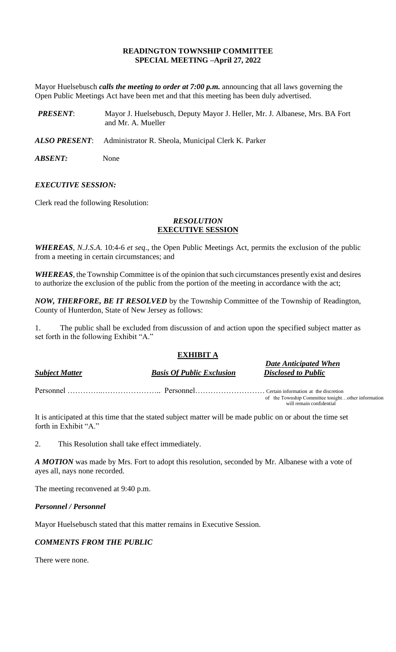### **READINGTON TOWNSHIP COMMITTEE SPECIAL MEETING –April 27, 2022**

Mayor Huelsebusch *calls the meeting to order at 7:00 p.m.* announcing that all laws governing the Open Public Meetings Act have been met and that this meeting has been duly advertised.

- *PRESENT*: Mayor J. Huelsebusch, Deputy Mayor J. Heller, Mr. J. Albanese, Mrs. BA Fort and Mr. A. Mueller
- *ALSO PRESENT*: Administrator R. Sheola, Municipal Clerk K. Parker

ABSENT: None

### *EXECUTIVE SESSION:*

Clerk read the following Resolution:

### *RESOLUTION* **EXECUTIVE SESSION**

*WHEREAS*, *N.J.S.A*. 10:4-6 *et seq*., the Open Public Meetings Act, permits the exclusion of the public from a meeting in certain circumstances; and

*WHEREAS,* the Township Committee is of the opinion that such circumstances presently exist and desires to authorize the exclusion of the public from the portion of the meeting in accordance with the act;

*NOW, THERFORE, BE IT RESOLVED* by the Township Committee of the Township of Readington, County of Hunterdon, State of New Jersey as follows:

1. The public shall be excluded from discussion of and action upon the specified subject matter as set forth in the following Exhibit "A."

# **EXHIBIT A**

| <b>Subject Matter</b> | <b>Basis Of Public Exclusion</b> | <b>Disclosed to Public</b>                                                     |
|-----------------------|----------------------------------|--------------------------------------------------------------------------------|
|                       |                                  |                                                                                |
|                       |                                  | of the Township Committee tonightother information<br>will remain confidential |

*Date Anticipated When*

It is anticipated at this time that the stated subject matter will be made public on or about the time set forth in Exhibit "A."

2. This Resolution shall take effect immediately.

*A MOTION* was made by Mrs. Fort to adopt this resolution, seconded by Mr. Albanese with a vote of ayes all, nays none recorded.

The meeting reconvened at 9:40 p.m.

### *Personnel / Personnel*

Mayor Huelsebusch stated that this matter remains in Executive Session.

# *COMMENTS FROM THE PUBLIC*

There were none.